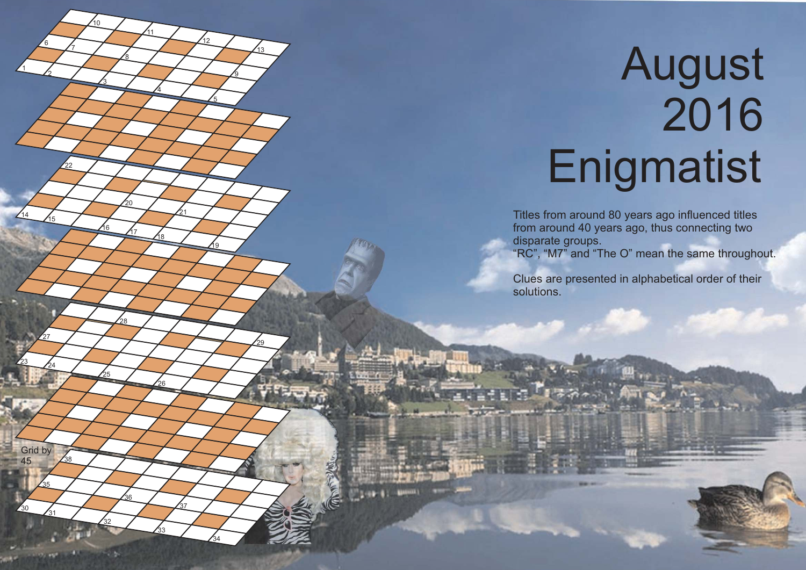## **August Enigmatist**

 $14/15$ 

 $\frac{23}{24}$ 

 $\frac{30}{31}$ 

Grid by 

16 17 18

<u> 19</u>

Titles from around 80 years ago influenced titles from around 40 years ago, thus connecting two disparate groups.

"RC", "M7" and "The O" mean the same throughout.

Clues are presented in alphabetical order of their solutions.